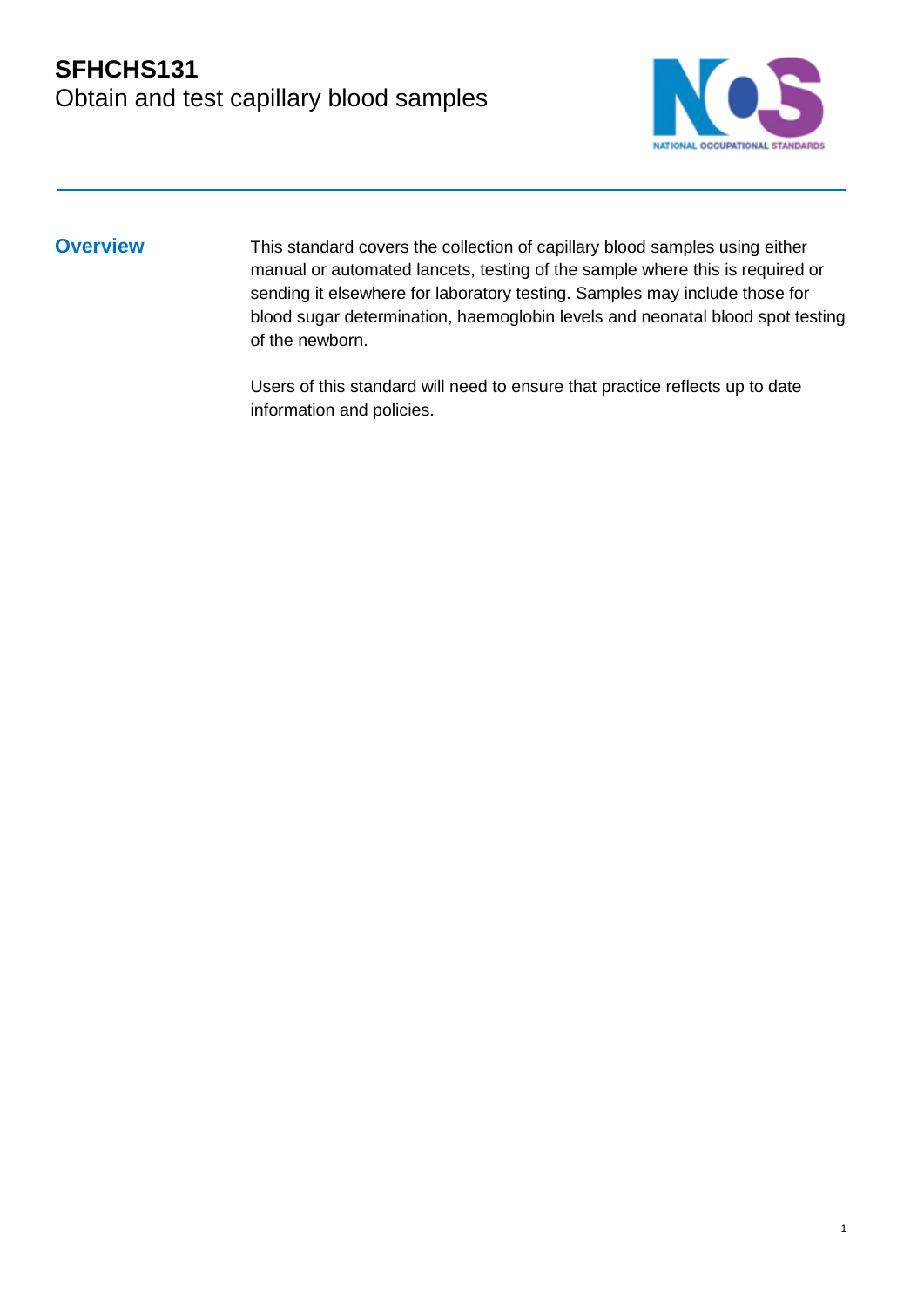

1

**Overview** This standard covers the collection of capillary blood samples using either manual or automated lancets, testing of the sample where this is required or sending it elsewhere for laboratory testing. Samples may include those for blood sugar determination, haemoglobin levels and neonatal blood spot testing of the newborn.

> Users of this standard will need to ensure that practice reflects up to date information and policies.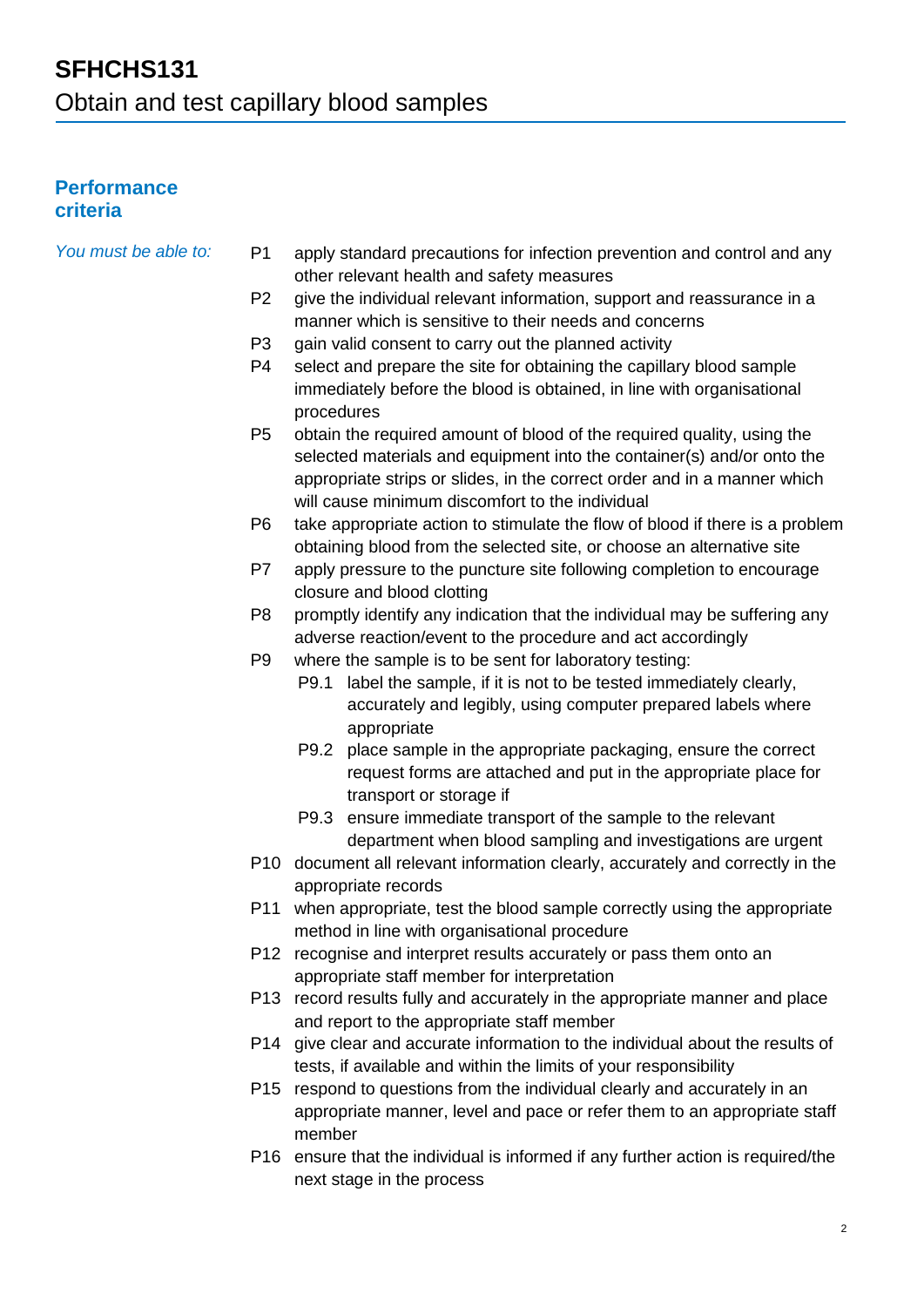### **Performance criteria**

| You must be able to: | P <sub>1</sub> | apply standard precautions for infection prevention and control and any<br>other relevant health and safety measures |
|----------------------|----------------|----------------------------------------------------------------------------------------------------------------------|
|                      | P <sub>2</sub> | give the individual relevant information, support and reassurance in a                                               |
|                      |                | manner which is sensitive to their needs and concerns                                                                |
|                      | P <sub>3</sub> | gain valid consent to carry out the planned activity                                                                 |
|                      | P <sub>4</sub> | select and prepare the site for obtaining the capillary blood sample                                                 |
|                      |                | immediately before the blood is obtained, in line with organisational                                                |
|                      |                | procedures                                                                                                           |
|                      | P <sub>5</sub> | obtain the required amount of blood of the required quality, using the                                               |
|                      |                | selected materials and equipment into the container(s) and/or onto the                                               |
|                      |                | appropriate strips or slides, in the correct order and in a manner which                                             |
|                      |                | will cause minimum discomfort to the individual                                                                      |
|                      | P <sub>6</sub> | take appropriate action to stimulate the flow of blood if there is a problem                                         |
|                      |                | obtaining blood from the selected site, or choose an alternative site                                                |
|                      | P7             | apply pressure to the puncture site following completion to encourage                                                |
|                      |                | closure and blood clotting                                                                                           |
|                      | P <sub>8</sub> | promptly identify any indication that the individual may be suffering any                                            |
|                      |                | adverse reaction/event to the procedure and act accordingly                                                          |
|                      | P <sub>9</sub> | where the sample is to be sent for laboratory testing:                                                               |
|                      |                | label the sample, if it is not to be tested immediately clearly,<br>P9.1                                             |
|                      |                | accurately and legibly, using computer prepared labels where                                                         |
|                      |                | appropriate                                                                                                          |
|                      |                | P9.2 place sample in the appropriate packaging, ensure the correct                                                   |
|                      |                | request forms are attached and put in the appropriate place for<br>transport or storage if                           |
|                      |                | P9.3 ensure immediate transport of the sample to the relevant                                                        |
|                      |                | department when blood sampling and investigations are urgent                                                         |
|                      |                | P10 document all relevant information clearly, accurately and correctly in the                                       |
|                      |                | appropriate records                                                                                                  |
|                      | P11            | when appropriate, test the blood sample correctly using the appropriate                                              |
|                      |                | method in line with organisational procedure                                                                         |
|                      |                | P12 recognise and interpret results accurately or pass them onto an                                                  |
|                      |                | appropriate staff member for interpretation                                                                          |
|                      |                | P13 record results fully and accurately in the appropriate manner and place                                          |
|                      |                | and report to the appropriate staff member                                                                           |
|                      |                | P14 give clear and accurate information to the individual about the results of                                       |
|                      |                | tests, if available and within the limits of your responsibility                                                     |
|                      |                | P15 respond to questions from the individual clearly and accurately in an                                            |
|                      |                | appropriate manner, level and pace or refer them to an appropriate staff                                             |
|                      |                | member                                                                                                               |
|                      |                | P16 ensure that the individual is informed if any further action is required/the                                     |
|                      |                | next stage in the process                                                                                            |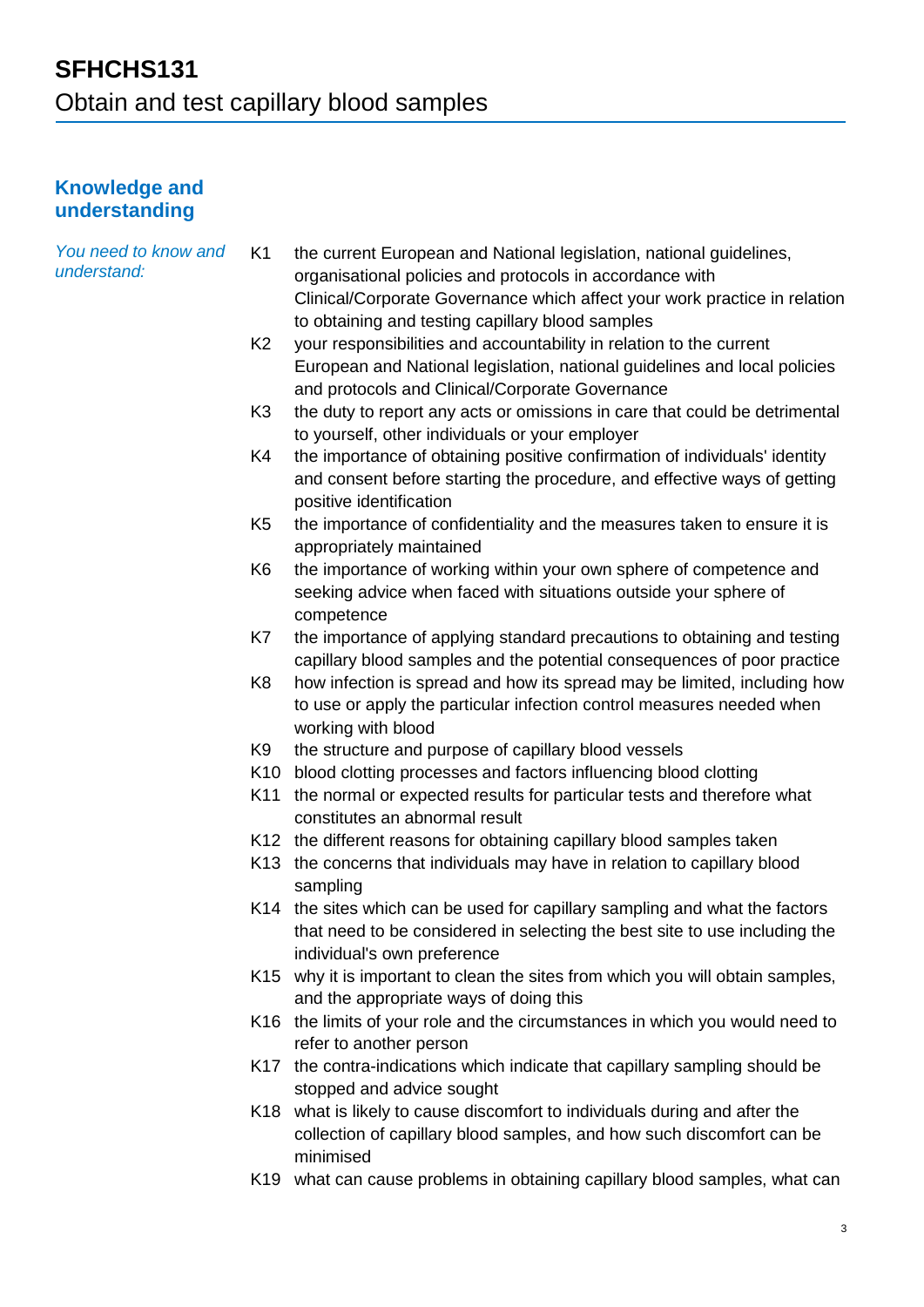#### **Knowledge and understanding**

| You need to know and<br>understand: | K <sub>1</sub>  | the current European and National legislation, national guidelines,<br>organisational policies and protocols in accordance with<br>Clinical/Corporate Governance which affect your work practice in relation<br>to obtaining and testing capillary blood samples |
|-------------------------------------|-----------------|------------------------------------------------------------------------------------------------------------------------------------------------------------------------------------------------------------------------------------------------------------------|
|                                     | K <sub>2</sub>  | your responsibilities and accountability in relation to the current<br>European and National legislation, national guidelines and local policies<br>and protocols and Clinical/Corporate Governance                                                              |
|                                     | K <sub>3</sub>  | the duty to report any acts or omissions in care that could be detrimental<br>to yourself, other individuals or your employer                                                                                                                                    |
|                                     | K4              | the importance of obtaining positive confirmation of individuals' identity<br>and consent before starting the procedure, and effective ways of getting<br>positive identification                                                                                |
|                                     | K <sub>5</sub>  | the importance of confidentiality and the measures taken to ensure it is<br>appropriately maintained                                                                                                                                                             |
|                                     | K <sub>6</sub>  | the importance of working within your own sphere of competence and<br>seeking advice when faced with situations outside your sphere of<br>competence                                                                                                             |
|                                     | K7              | the importance of applying standard precautions to obtaining and testing<br>capillary blood samples and the potential consequences of poor practice                                                                                                              |
|                                     | K <sub>8</sub>  | how infection is spread and how its spread may be limited, including how<br>to use or apply the particular infection control measures needed when<br>working with blood                                                                                          |
|                                     | K <sub>9</sub>  | the structure and purpose of capillary blood vessels                                                                                                                                                                                                             |
|                                     | K <sub>10</sub> | blood clotting processes and factors influencing blood clotting                                                                                                                                                                                                  |
|                                     | K11             | the normal or expected results for particular tests and therefore what<br>constitutes an abnormal result                                                                                                                                                         |
|                                     |                 | K12 the different reasons for obtaining capillary blood samples taken                                                                                                                                                                                            |
|                                     |                 | K13 the concerns that individuals may have in relation to capillary blood<br>sampling                                                                                                                                                                            |
|                                     |                 | K14 the sites which can be used for capillary sampling and what the factors<br>that need to be considered in selecting the best site to use including the<br>individual's own preference                                                                         |
|                                     |                 | K15 why it is important to clean the sites from which you will obtain samples,<br>and the appropriate ways of doing this                                                                                                                                         |
|                                     |                 | K16 the limits of your role and the circumstances in which you would need to<br>refer to another person                                                                                                                                                          |
|                                     |                 | K17 the contra-indications which indicate that capillary sampling should be<br>stopped and advice sought                                                                                                                                                         |
|                                     |                 | K18 what is likely to cause discomfort to individuals during and after the<br>collection of capillary blood samples, and how such discomfort can be<br>minimised                                                                                                 |
|                                     |                 | K19 what can cause problems in obtaining capillary blood samples, what can                                                                                                                                                                                       |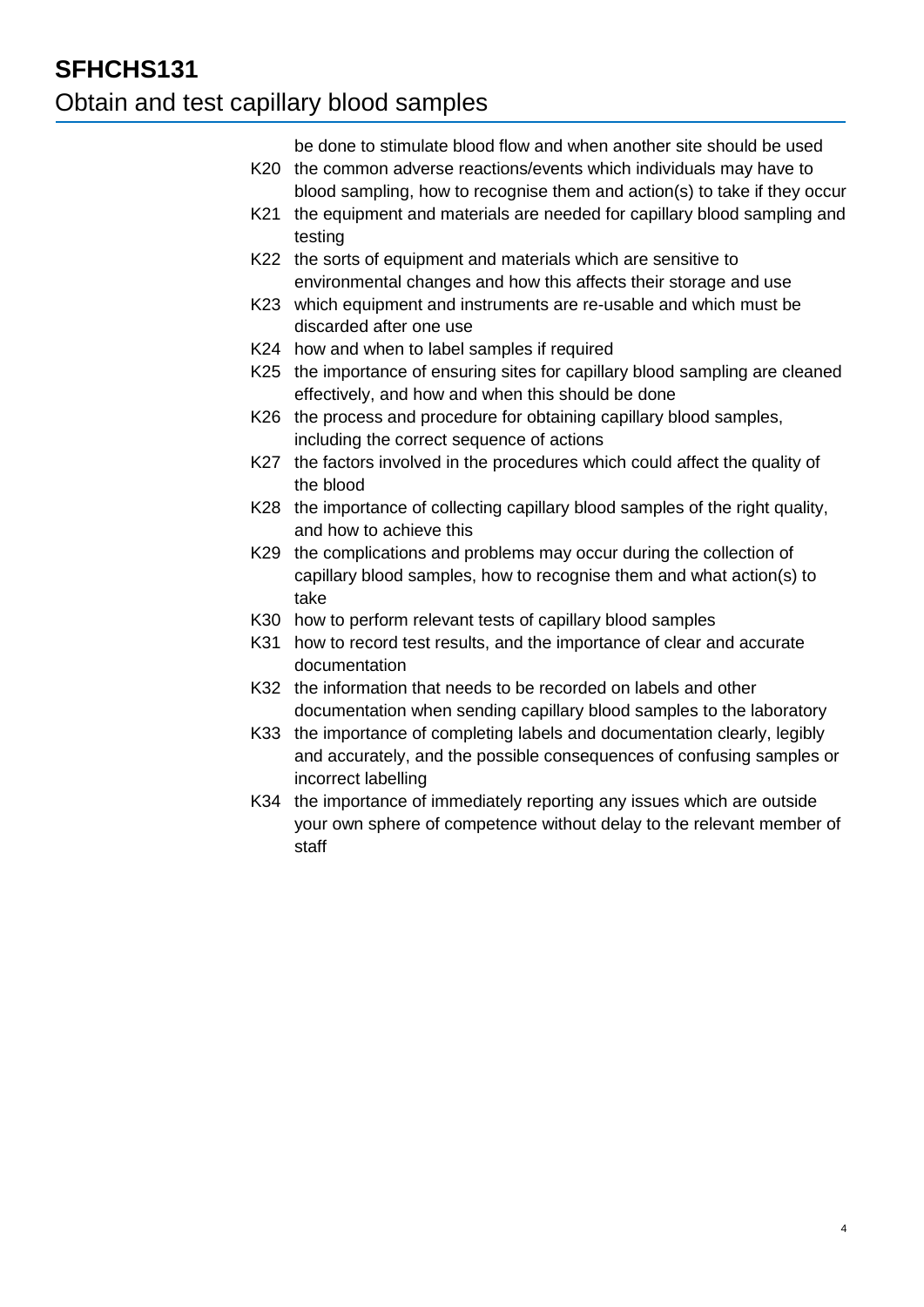## **SFHCHS131** Obtain and test capillary blood samples

be done to stimulate blood flow and when another site should be used

- K20 the common adverse reactions/events which individuals may have to blood sampling, how to recognise them and action(s) to take if they occur
- K21 the equipment and materials are needed for capillary blood sampling and testing
- K22 the sorts of equipment and materials which are sensitive to environmental changes and how this affects their storage and use
- K23 which equipment and instruments are re-usable and which must be discarded after one use
- K24 how and when to label samples if required
- K25 the importance of ensuring sites for capillary blood sampling are cleaned effectively, and how and when this should be done
- K26 the process and procedure for obtaining capillary blood samples, including the correct sequence of actions
- K27 the factors involved in the procedures which could affect the quality of the blood
- K28 the importance of collecting capillary blood samples of the right quality, and how to achieve this
- K29 the complications and problems may occur during the collection of capillary blood samples, how to recognise them and what action(s) to take
- K30 how to perform relevant tests of capillary blood samples
- K31 how to record test results, and the importance of clear and accurate documentation
- K32 the information that needs to be recorded on labels and other documentation when sending capillary blood samples to the laboratory
- K33 the importance of completing labels and documentation clearly, legibly and accurately, and the possible consequences of confusing samples or incorrect labelling
- K34 the importance of immediately reporting any issues which are outside your own sphere of competence without delay to the relevant member of staff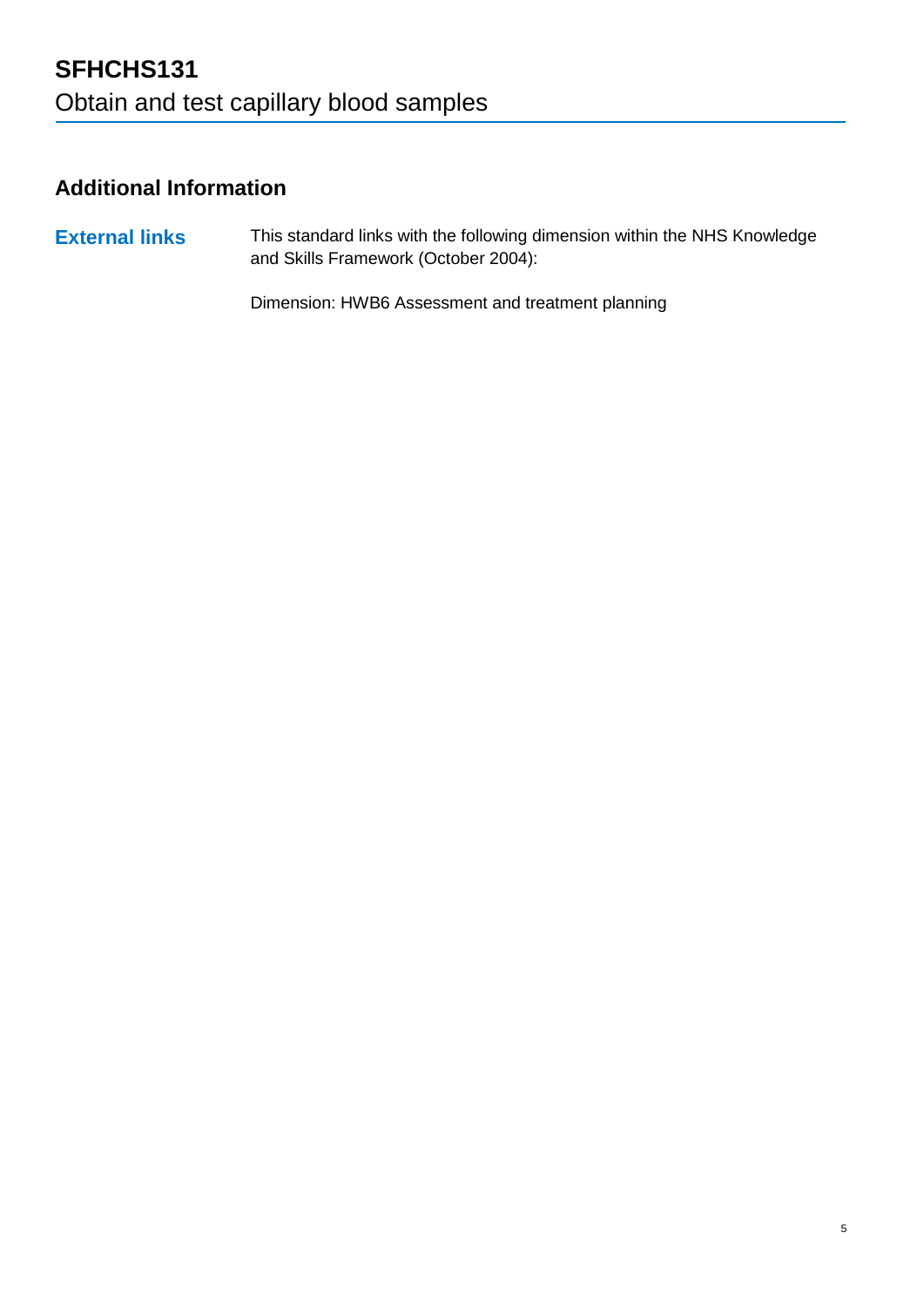## **Additional Information**

**External links** This standard links with the following dimension within the NHS Knowledge and Skills Framework (October 2004):

Dimension: HWB6 Assessment and treatment planning